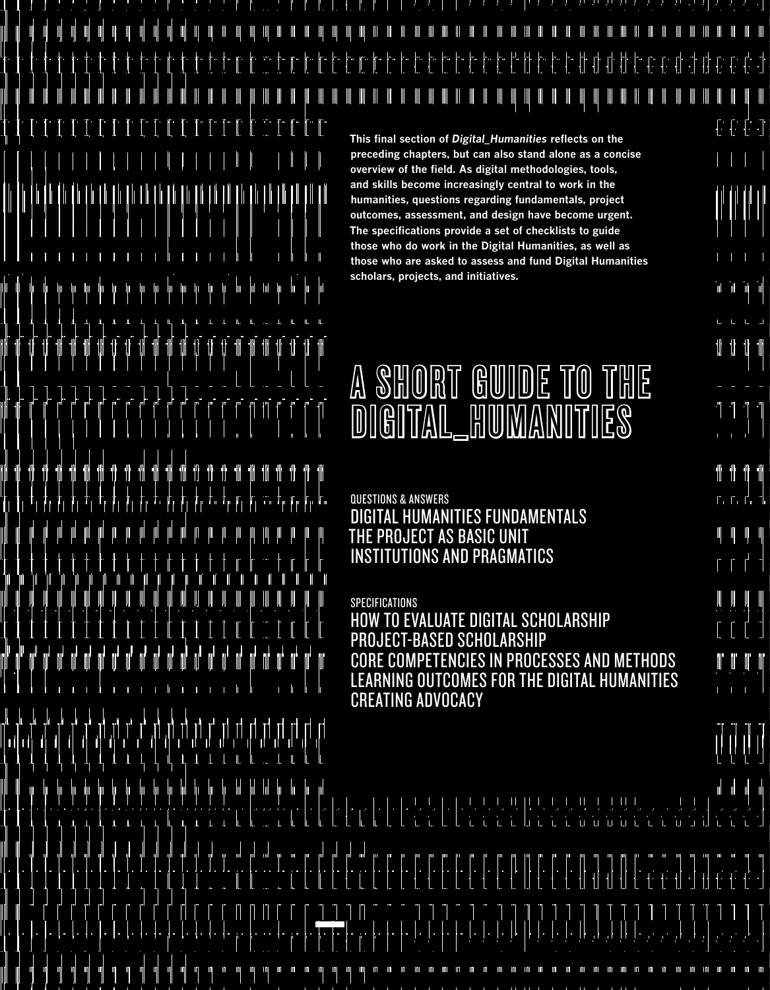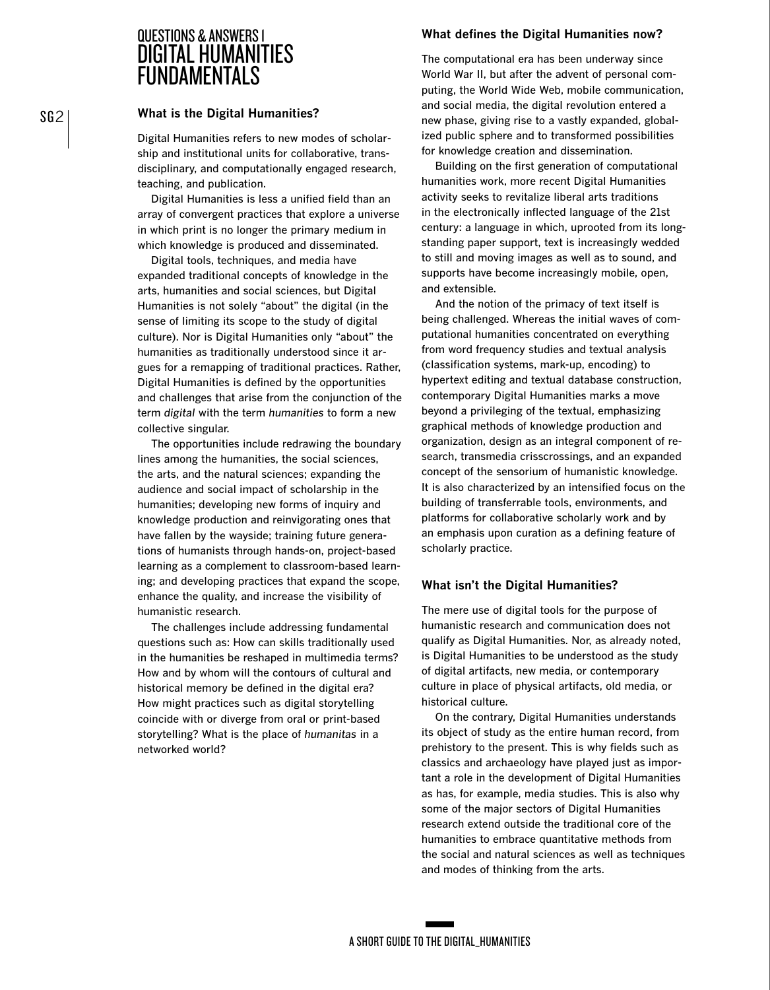# QUESTIONS & ANSWERS 1 DIGITAL HUMANITIES FUNDAMENTALS

## **What is the Digital Humanities?**

Digital Humanities refers to new modes of scholarship and institutional units for collaborative, transdisciplinary, and computationally engaged research, teaching, and publication.

Digital Humanities is less a unified field than an array of convergent practices that explore a universe in which print is no longer the primary medium in which knowledge is produced and disseminated.

Digital tools, techniques, and media have expanded traditional concepts of knowledge in the arts, humanities and social sciences, but Digital Humanities is not solely "about" the digital (in the sense of limiting its scope to the study of digital culture). Nor is Digital Humanities only "about" the humanities as traditionally understood since it argues for a remapping of traditional practices. Rather, Digital Humanities is defined by the opportunities and challenges that arise from the conjunction of the term *digital* with the term *humanities* to form a new collective singular.

The opportunities include redrawing the boundary lines among the humanities, the social sciences, the arts, and the natural sciences; expanding the audience and social impact of scholarship in the humanities; developing new forms of inquiry and knowledge production and reinvigorating ones that have fallen by the wayside; training future generations of humanists through hands-on, project-based learning as a complement to classroom-based learning; and developing practices that expand the scope, enhance the quality, and increase the visibility of humanistic research.

The challenges include addressing fundamental questions such as: How can skills traditionally used in the humanities be reshaped in multimedia terms? How and by whom will the contours of cultural and historical memory be defined in the digital era? How might practices such as digital storytelling coincide with or diverge from oral or print-based storytelling? What is the place of *humanitas* in a networked world?

## **What defines the Digital Humanities now?**

The computational era has been underway since World War II, but after the advent of personal computing, the World Wide Web, mobile communication, and social media, the digital revolution entered a new phase, giving rise to a vastly expanded, globalized public sphere and to transformed possibilities for knowledge creation and dissemination.

Building on the first generation of computational humanities work, more recent Digital Humanities activity seeks to revitalize liberal arts traditions in the electronically inflected language of the 21st century: a language in which, uprooted from its longstanding paper support, text is increasingly wedded to still and moving images as well as to sound, and supports have become increasingly mobile, open, and extensible.

And the notion of the primacy of text itself is being challenged. Whereas the initial waves of computational humanities concentrated on everything from word frequency studies and textual analysis (classification systems, mark-up, encoding) to hypertext editing and textual database construction, contemporary Digital Humanities marks a move beyond a privileging of the textual, emphasizing graphical methods of knowledge production and organization, design as an integral component of research, transmedia crisscrossings, and an expanded concept of the sensorium of humanistic knowledge. It is also characterized by an intensified focus on the building of transferrable tools, environments, and platforms for collaborative scholarly work and by an emphasis upon curation as a defining feature of scholarly practice.

# **What isn't the Digital Humanities?**

The mere use of digital tools for the purpose of humanistic research and communication does not qualify as Digital Humanities. Nor, as already noted, is Digital Humanities to be understood as the study of digital artifacts, new media, or contemporary culture in place of physical artifacts, old media, or historical culture.

On the contrary, Digital Humanities understands its object of study as the entire human record, from prehistory to the present. This is why fields such as classics and archaeology have played just as important a role in the development of Digital Humanities as has, for example, media studies. This is also why some of the major sectors of Digital Humanities research extend outside the traditional core of the humanities to embrace quantitative methods from the social and natural sciences as well as techniques and modes of thinking from the arts.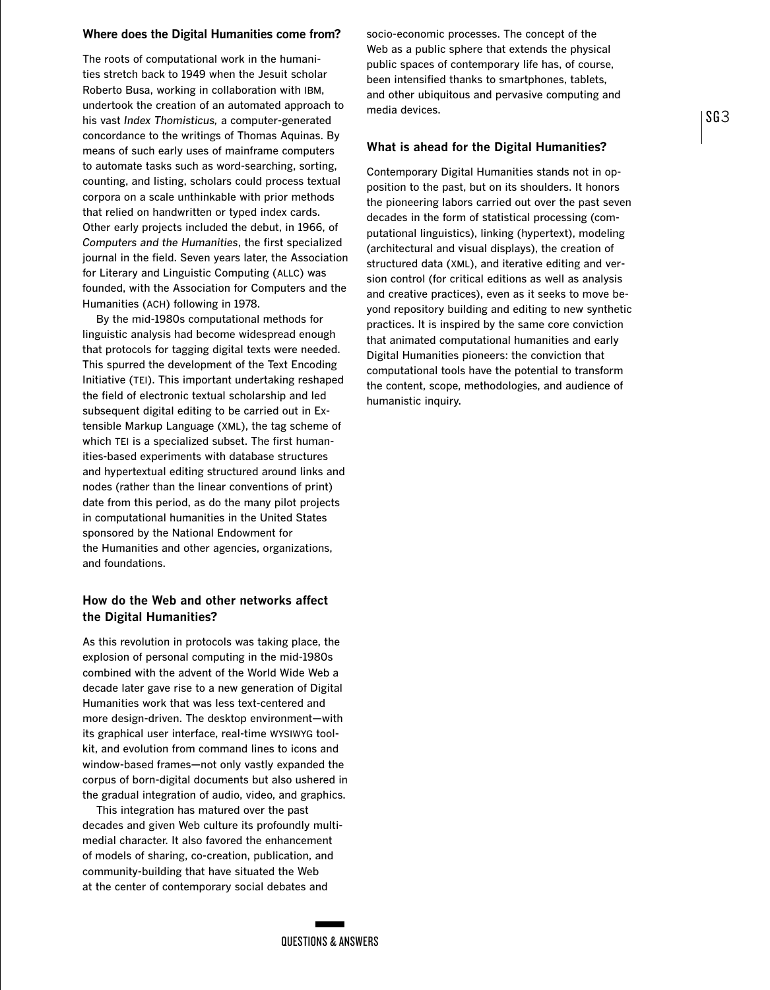#### **Where does the Digital Humanities come from?**

The roots of computational work in the humanities stretch back to 1949 when the Jesuit scholar Roberto Busa, working in collaboration with IBM, undertook the creation of an automated approach to his vast *Index Thomisticus,* a computer-generated concordance to the writings of Thomas Aquinas. By means of such early uses of mainframe computers to automate tasks such as word-searching, sorting, counting, and listing, scholars could process textual corpora on a scale unthinkable with prior methods that relied on handwritten or typed index cards. Other early projects included the debut, in 1966, of *Computers and the Humanities*, the first specialized journal in the field. Seven years later, the Association for Literary and Linguistic Computing (ALLC) was founded, with the Association for Computers and the Humanities (ACH) following in 1978.

By the mid-1980s computational methods for linguistic analysis had become widespread enough that protocols for tagging digital texts were needed. This spurred the development of the Text Encoding Initiative (TEI). This important undertaking reshaped the field of electronic textual scholarship and led subsequent digital editing to be carried out in Extensible Markup Language (XML), the tag scheme of which TEI is a specialized subset. The first humanities-based experiments with database structures and hypertextual editing structured around links and nodes (rather than the linear conventions of print) date from this period, as do the many pilot projects in computational humanities in the United States sponsored by the National Endowment for the Humanities and other agencies, organizations, and foundations.

## **How do the Web and other networks affect the Digital Humanities?**

As this revolution in protocols was taking place, the explosion of personal computing in the mid-1980s combined with the advent of the World Wide Web a decade later gave rise to a new generation of Digital Humanities work that was less text-centered and more design-driven. The desktop environment—with its graphical user interface, real-time WYSIWYG toolkit, and evolution from command lines to icons and window-based frames—not only vastly expanded the corpus of born-digital documents but also ushered in the gradual integration of audio, video, and graphics.

This integration has matured over the past decades and given Web culture its profoundly multimedial character. It also favored the enhancement of models of sharing, co-creation, publication, and community-building that have situated the Web at the center of contemporary social debates and

socio-economic processes. The concept of the Web as a public sphere that extends the physical public spaces of contemporary life has, of course, been intensified thanks to smartphones, tablets, and other ubiquitous and pervasive computing and media devices.

#### **What is ahead for the Digital Humanities?**

Contemporary Digital Humanities stands not in opposition to the past, but on its shoulders. It honors the pioneering labors carried out over the past seven decades in the form of statistical processing (computational linguistics), linking (hypertext), modeling (architectural and visual displays), the creation of structured data (XML), and iterative editing and version control (for critical editions as well as analysis and creative practices), even as it seeks to move beyond repository building and editing to new synthetic practices. It is inspired by the same core conviction that animated computational humanities and early Digital Humanities pioneers: the conviction that computational tools have the potential to transform the content, scope, methodologies, and audience of humanistic inquiry.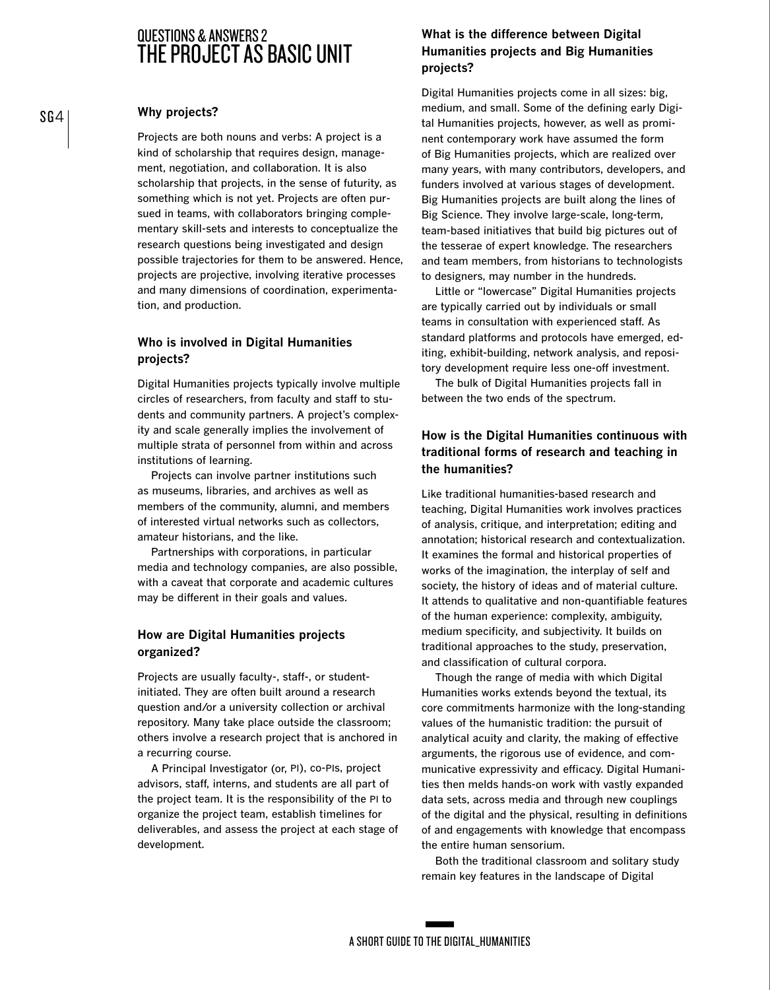# QUESTIONS & ANSWERS 2 THE PROJECT AS BASIC UNIT

#### **Why projects?**

Projects are both nouns and verbs: A project is a kind of scholarship that requires design, management, negotiation, and collaboration. It is also scholarship that projects, in the sense of futurity, as something which is not yet. Projects are often pursued in teams, with collaborators bringing complementary skill-sets and interests to conceptualize the research questions being investigated and design possible trajectories for them to be answered. Hence, projects are projective, involving iterative processes and many dimensions of coordination, experimentation, and production.

# **Who is involved in Digital Humanities projects?**

Digital Humanities projects typically involve multiple circles of researchers, from faculty and staff to students and community partners. A project's complexity and scale generally implies the involvement of multiple strata of personnel from within and across institutions of learning.

Projects can involve partner institutions such as museums, libraries, and archives as well as members of the community, alumni, and members of interested virtual networks such as collectors, amateur historians, and the like.

Partnerships with corporations, in particular media and technology companies, are also possible, with a caveat that corporate and academic cultures may be different in their goals and values.

## **How are Digital Humanities projects organized?**

Projects are usually faculty-, staff-, or studentinitiated. They are often built around a research question and/or a university collection or archival repository. Many take place outside the classroom; others involve a research project that is anchored in a recurring course.

A Principal Investigator (or, PI), co-PIs, project advisors, staff, interns, and students are all part of the project team. It is the responsibility of the PI to organize the project team, establish timelines for deliverables, and assess the project at each stage of development.

# **What is the difference between Digital Humanities projects and Big Humanities projects?**

Digital Humanities projects come in all sizes: big, medium, and small. Some of the defining early Digital Humanities projects, however, as well as prominent contemporary work have assumed the form of Big Humanities projects, which are realized over many years, with many contributors, developers, and funders involved at various stages of development. Big Humanities projects are built along the lines of Big Science. They involve large-scale, long-term, team-based initiatives that build big pictures out of the tesserae of expert knowledge. The researchers and team members, from historians to technologists to designers, may number in the hundreds.

Little or "lowercase" Digital Humanities projects are typically carried out by individuals or small teams in consultation with experienced staff. As standard platforms and protocols have emerged, editing, exhibit-building, network analysis, and repository development require less one-off investment.

The bulk of Digital Humanities projects fall in between the two ends of the spectrum.

# **How is the Digital Humanities continuous with traditional forms of research and teaching in the humanities?**

Like traditional humanities-based research and teaching, Digital Humanities work involves practices of analysis, critique, and interpretation; editing and annotation; historical research and contextualization. It examines the formal and historical properties of works of the imagination, the interplay of self and society, the history of ideas and of material culture. It attends to qualitative and non-quantifiable features of the human experience: complexity, ambiguity, medium specificity, and subjectivity. It builds on traditional approaches to the study, preservation, and classification of cultural corpora.

Though the range of media with which Digital Humanities works extends beyond the textual, its core commitments harmonize with the long-standing values of the humanistic tradition: the pursuit of analytical acuity and clarity, the making of effective arguments, the rigorous use of evidence, and communicative expressivity and efficacy. Digital Humanities then melds hands-on work with vastly expanded data sets, across media and through new couplings of the digital and the physical, resulting in definitions of and engagements with knowledge that encompass the entire human sensorium.

Both the traditional classroom and solitary study remain key features in the landscape of Digital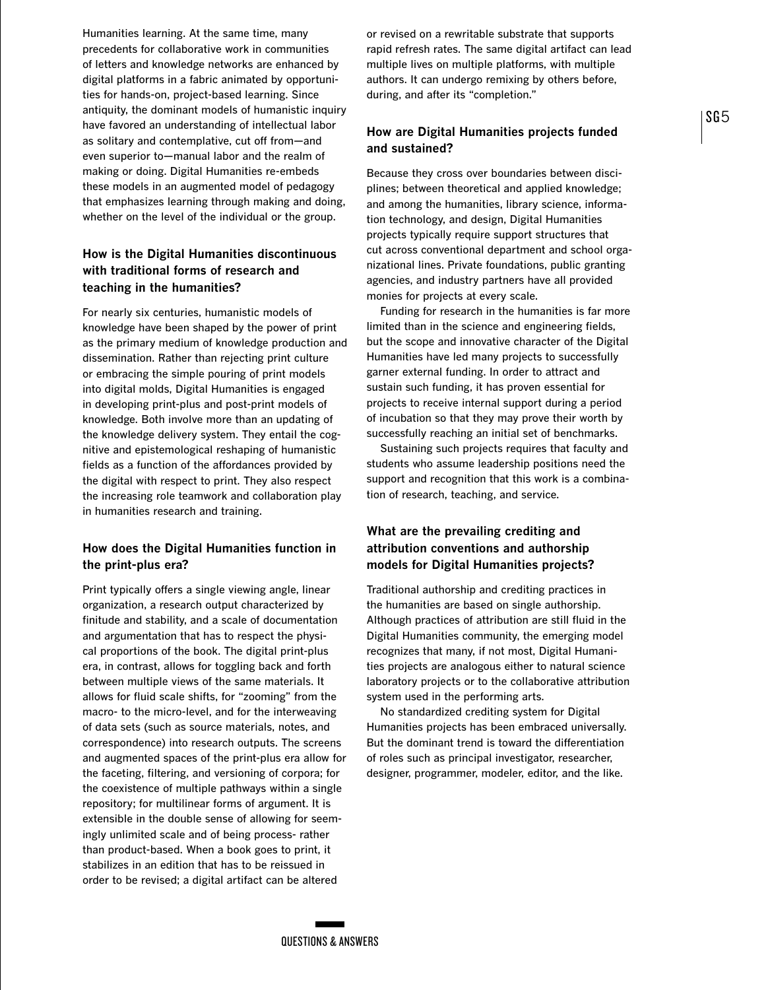Humanities learning. At the same time, many precedents for collaborative work in communities of letters and knowledge networks are enhanced by digital platforms in a fabric animated by opportunities for hands-on, project-based learning. Since antiquity, the dominant models of humanistic inquiry have favored an understanding of intellectual labor as solitary and contemplative, cut off from—and even superior to—manual labor and the realm of making or doing. Digital Humanities re-embeds these models in an augmented model of pedagogy that emphasizes learning through making and doing, whether on the level of the individual or the group.

# **How is the Digital Humanities discontinuous with traditional forms of research and teaching in the humanities?**

For nearly six centuries, humanistic models of knowledge have been shaped by the power of print as the primary medium of knowledge production and dissemination. Rather than rejecting print culture or embracing the simple pouring of print models into digital molds, Digital Humanities is engaged in developing print-plus and post-print models of knowledge. Both involve more than an updating of the knowledge delivery system. They entail the cognitive and epistemological reshaping of humanistic fields as a function of the affordances provided by the digital with respect to print. They also respect the increasing role teamwork and collaboration play in humanities research and training.

# **How does the Digital Humanities function in the print-plus era?**

Print typically offers a single viewing angle, linear organization, a research output characterized by finitude and stability, and a scale of documentation and argumentation that has to respect the physical proportions of the book. The digital print-plus era, in contrast, allows for toggling back and forth between multiple views of the same materials. It allows for fluid scale shifts, for "zooming" from the macro- to the micro-level, and for the interweaving of data sets (such as source materials, notes, and correspondence) into research outputs. The screens and augmented spaces of the print-plus era allow for the faceting, filtering, and versioning of corpora; for the coexistence of multiple pathways within a single repository; for multilinear forms of argument. It is extensible in the double sense of allowing for seemingly unlimited scale and of being process- rather than product-based. When a book goes to print, it stabilizes in an edition that has to be reissued in order to be revised; a digital artifact can be altered

or revised on a rewritable substrate that supports rapid refresh rates. The same digital artifact can lead multiple lives on multiple platforms, with multiple authors. It can undergo remixing by others before, during, and after its "completion."

## **How are Digital Humanities projects funded and sustained?**

Because they cross over boundaries between disciplines; between theoretical and applied knowledge; and among the humanities, library science, information technology, and design, Digital Humanities projects typically require support structures that cut across conventional department and school organizational lines. Private foundations, public granting agencies, and industry partners have all provided monies for projects at every scale.

Funding for research in the humanities is far more limited than in the science and engineering fields, but the scope and innovative character of the Digital Humanities have led many projects to successfully garner external funding. In order to attract and sustain such funding, it has proven essential for projects to receive internal support during a period of incubation so that they may prove their worth by successfully reaching an initial set of benchmarks.

Sustaining such projects requires that faculty and students who assume leadership positions need the support and recognition that this work is a combination of research, teaching, and service.

# **What are the prevailing crediting and attribution conventions and authorship models for Digital Humanities projects?**

Traditional authorship and crediting practices in the humanities are based on single authorship. Although practices of attribution are still fluid in the Digital Humanities community, the emerging model recognizes that many, if not most, Digital Humanities projects are analogous either to natural science laboratory projects or to the collaborative attribution system used in the performing arts.

No standardized crediting system for Digital Humanities projects has been embraced universally. But the dominant trend is toward the differentiation of roles such as principal investigator, researcher, designer, programmer, modeler, editor, and the like.

questions & answers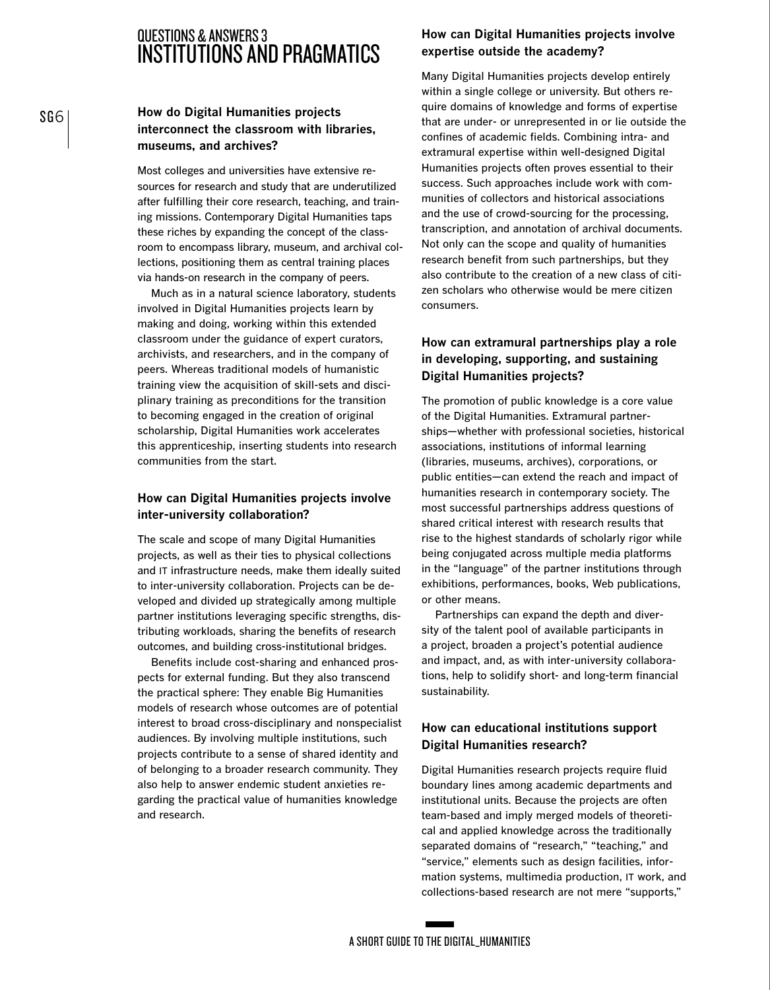# QUESTIONS & ANSWERS 3 INSTITUTIONSANDPRAGMATICs

# **How do Digital Humanities projects interconnect the classroom with libraries, museums, and archives?**

Most colleges and universities have extensive resources for research and study that are underutilized after fulfilling their core research, teaching, and training missions. Contemporary Digital Humanities taps these riches by expanding the concept of the classroom to encompass library, museum, and archival collections, positioning them as central training places via hands-on research in the company of peers.

Much as in a natural science laboratory, students involved in Digital Humanities projects learn by making and doing, working within this extended classroom under the guidance of expert curators, archivists, and researchers, and in the company of peers. Whereas traditional models of humanistic training view the acquisition of skill-sets and disciplinary training as preconditions for the transition to becoming engaged in the creation of original scholarship, Digital Humanities work accelerates this apprenticeship, inserting students into research communities from the start.

# **How can Digital Humanities projects involve inter-university collaboration?**

The scale and scope of many Digital Humanities projects, as well as their ties to physical collections and IT infrastructure needs, make them ideally suited to inter-university collaboration. Projects can be developed and divided up strategically among multiple partner institutions leveraging specific strengths, distributing workloads, sharing the benefits of research outcomes, and building cross-institutional bridges.

Benefits include cost-sharing and enhanced prospects for external funding. But they also transcend the practical sphere: They enable Big Humanities models of research whose outcomes are of potential interest to broad cross-disciplinary and nonspecialist audiences. By involving multiple institutions, such projects contribute to a sense of shared identity and of belonging to a broader research community. They also help to answer endemic student anxieties regarding the practical value of humanities knowledge and research.

# **How can Digital Humanities projects involve expertise outside the academy?**

Many Digital Humanities projects develop entirely within a single college or university. But others require domains of knowledge and forms of expertise that are under- or unrepresented in or lie outside the confines of academic fields. Combining intra- and extramural expertise within well-designed Digital Humanities projects often proves essential to their success. Such approaches include work with communities of collectors and historical associations and the use of crowd-sourcing for the processing, transcription, and annotation of archival documents. Not only can the scope and quality of humanities research benefit from such partnerships, but they also contribute to the creation of a new class of citizen scholars who otherwise would be mere citizen consumers.

# **How can extramural partnerships play a role in developing, supporting, and sustaining Digital Humanities projects?**

The promotion of public knowledge is a core value of the Digital Humanities. Extramural partnerships—whether with professional societies, historical associations, institutions of informal learning (libraries, museums, archives), corporations, or public entities—can extend the reach and impact of humanities research in contemporary society. The most successful partnerships address questions of shared critical interest with research results that rise to the highest standards of scholarly rigor while being conjugated across multiple media platforms in the "language" of the partner institutions through exhibitions, performances, books, Web publications, or other means.

Partnerships can expand the depth and diversity of the talent pool of available participants in a project, broaden a project's potential audience and impact, and, as with inter-university collaborations, help to solidify short- and long-term financial sustainability.

# **How can educational institutions support Digital Humanities research?**

Digital Humanities research projects require fluid boundary lines among academic departments and institutional units. Because the projects are often team-based and imply merged models of theoretical and applied knowledge across the traditionally separated domains of "research," "teaching," and "service," elements such as design facilities, information systems, multimedia production, IT work, and collections-based research are not mere "supports,"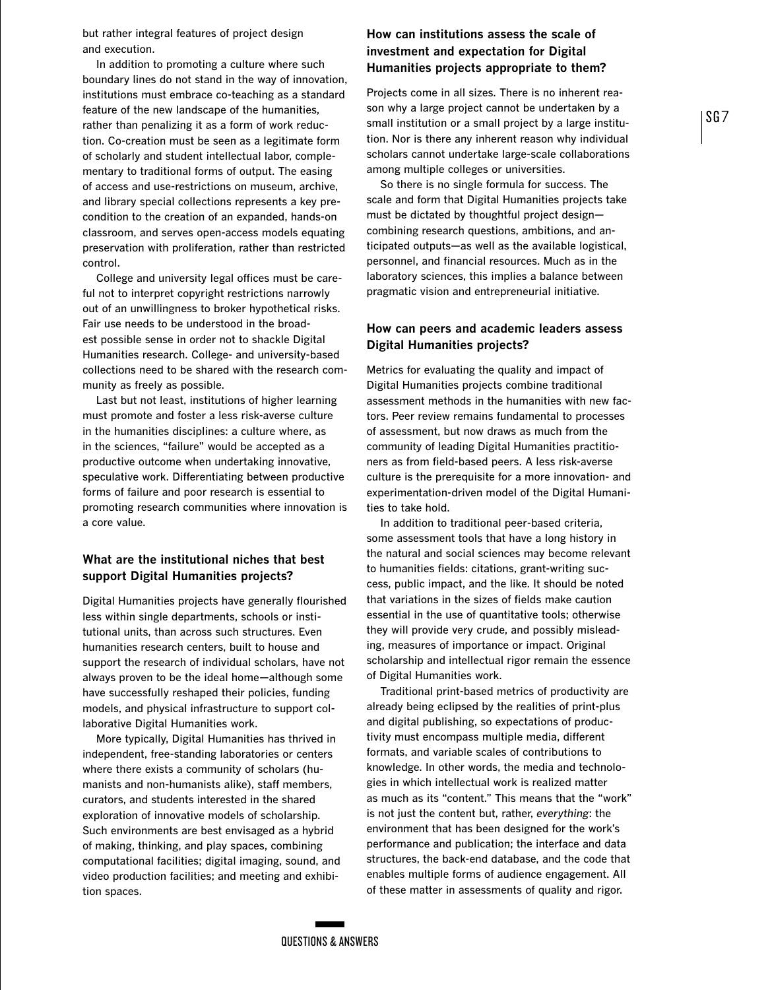but rather integral features of project design and execution.

In addition to promoting a culture where such boundary lines do not stand in the way of innovation, institutions must embrace co-teaching as a standard feature of the new landscape of the humanities, rather than penalizing it as a form of work reduction. Co-creation must be seen as a legitimate form of scholarly and student intellectual labor, complementary to traditional forms of output. The easing of access and use-restrictions on museum, archive, and library special collections represents a key precondition to the creation of an expanded, hands-on classroom, and serves open-access models equating preservation with proliferation, rather than restricted control.

College and university legal offices must be careful not to interpret copyright restrictions narrowly out of an unwillingness to broker hypothetical risks. Fair use needs to be understood in the broadest possible sense in order not to shackle Digital Humanities research. College- and university-based collections need to be shared with the research community as freely as possible.

Last but not least, institutions of higher learning must promote and foster a less risk-averse culture in the humanities disciplines: a culture where, as in the sciences, "failure" would be accepted as a productive outcome when undertaking innovative, speculative work. Differentiating between productive forms of failure and poor research is essential to promoting research communities where innovation is a core value.

# **What are the institutional niches that best support Digital Humanities projects?**

Digital Humanities projects have generally flourished less within single departments, schools or institutional units, than across such structures. Even humanities research centers, built to house and support the research of individual scholars, have not always proven to be the ideal home—although some have successfully reshaped their policies, funding models, and physical infrastructure to support collaborative Digital Humanities work.

More typically, Digital Humanities has thrived in independent, free-standing laboratories or centers where there exists a community of scholars (humanists and non-humanists alike), staff members, curators, and students interested in the shared exploration of innovative models of scholarship. Such environments are best envisaged as a hybrid of making, thinking, and play spaces, combining computational facilities; digital imaging, sound, and video production facilities; and meeting and exhibition spaces.

# **How can institutions assess the scale of investment and expectation for Digital Humanities projects appropriate to them?**

Projects come in all sizes. There is no inherent reason why a large project cannot be undertaken by a small institution or a small project by a large institution. Nor is there any inherent reason why individual scholars cannot undertake large-scale collaborations among multiple colleges or universities.

So there is no single formula for success. The scale and form that Digital Humanities projects take must be dictated by thoughtful project design combining research questions, ambitions, and anticipated outputs—as well as the available logistical, personnel, and financial resources. Much as in the laboratory sciences, this implies a balance between pragmatic vision and entrepreneurial initiative.

# **How can peers and academic leaders assess Digital Humanities projects?**

Metrics for evaluating the quality and impact of Digital Humanities projects combine traditional assessment methods in the humanities with new factors. Peer review remains fundamental to processes of assessment, but now draws as much from the community of leading Digital Humanities practitioners as from field-based peers. A less risk-averse culture is the prerequisite for a more innovation- and experimentation-driven model of the Digital Humanities to take hold.

In addition to traditional peer-based criteria, some assessment tools that have a long history in the natural and social sciences may become relevant to humanities fields: citations, grant-writing success, public impact, and the like. It should be noted that variations in the sizes of fields make caution essential in the use of quantitative tools; otherwise they will provide very crude, and possibly misleading, measures of importance or impact. Original scholarship and intellectual rigor remain the essence of Digital Humanities work.

Traditional print-based metrics of productivity are already being eclipsed by the realities of print-plus and digital publishing, so expectations of productivity must encompass multiple media, different formats, and variable scales of contributions to knowledge. In other words, the media and technologies in which intellectual work is realized matter as much as its "content." This means that the "work" is not just the content but, rather, *everything*: the environment that has been designed for the work's performance and publication; the interface and data structures, the back-end database, and the code that enables multiple forms of audience engagement. All of these matter in assessments of quality and rigor.

SG SG7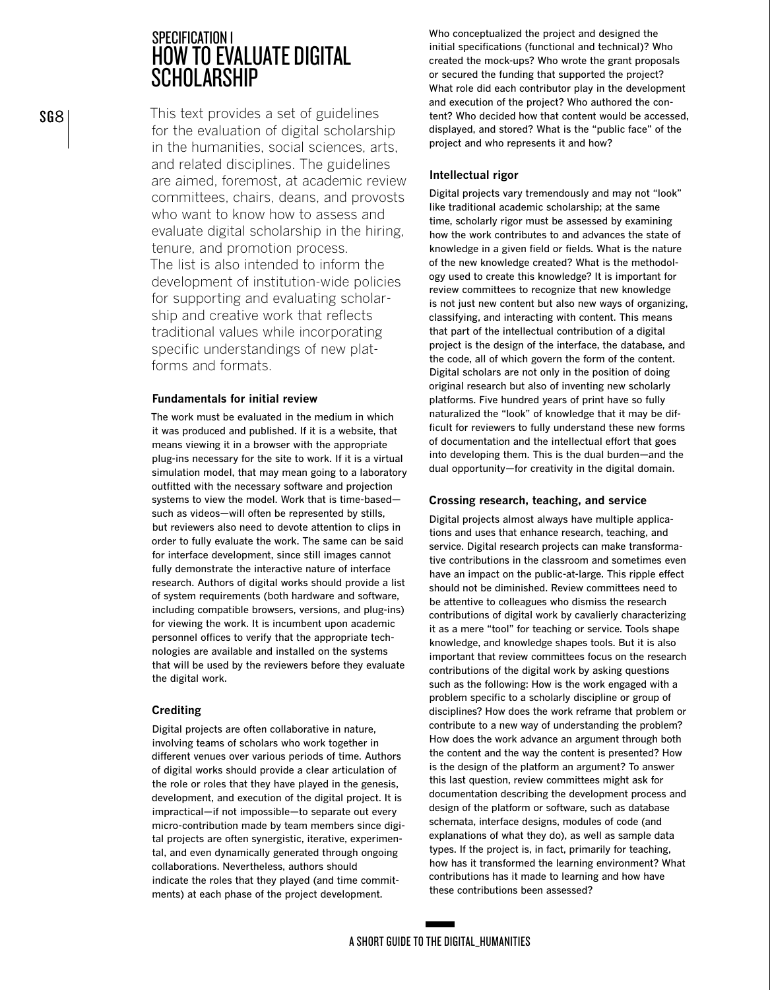# SPECIFICATION 1 How to Evaluate Digital **SCHOLARSHIP**

This text provides a set of guidelines for the evaluation of digital scholarship in the humanities, social sciences, arts, and related disciplines. The guidelines are aimed, foremost, at academic review committees, chairs, deans, and provosts who want to know how to assess and evaluate digital scholarship in the hiring, tenure, and promotion process. The list is also intended to inform the development of institution-wide policies for supporting and evaluating scholarship and creative work that reflects traditional values while incorporating specific understandings of new platforms and formats.

#### **Fundamentals for initial review**

The work must be evaluated in the medium in which it was produced and published. If it is a website, that means viewing it in a browser with the appropriate plug-ins necessary for the site to work. If it is a virtual simulation model, that may mean going to a laboratory outfitted with the necessary software and projection systems to view the model. Work that is time-based such as videos—will often be represented by stills, but reviewers also need to devote attention to clips in order to fully evaluate the work. The same can be said for interface development, since still images cannot fully demonstrate the interactive nature of interface research. Authors of digital works should provide a list of system requirements (both hardware and software, including compatible browsers, versions, and plug-ins) for viewing the work. It is incumbent upon academic personnel offices to verify that the appropriate technologies are available and installed on the systems that will be used by the reviewers before they evaluate the digital work.

#### **Crediting**

Digital projects are often collaborative in nature, involving teams of scholars who work together in different venues over various periods of time. Authors of digital works should provide a clear articulation of the role or roles that they have played in the genesis, development, and execution of the digital project. It is impractical—if not impossible—to separate out every micro-contribution made by team members since digital projects are often synergistic, iterative, experimental, and even dynamically generated through ongoing collaborations. Nevertheless, authors should indicate the roles that they played (and time commitments) at each phase of the project development.

Who conceptualized the project and designed the initial specifications (functional and technical)? Who created the mock-ups? Who wrote the grant proposals or secured the funding that supported the project? What role did each contributor play in the development and execution of the project? Who authored the content? Who decided how that content would be accessed, displayed, and stored? What is the "public face" of the project and who represents it and how?

#### **Intellectual rigor**

Digital projects vary tremendously and may not "look" like traditional academic scholarship; at the same time, scholarly rigor must be assessed by examining how the work contributes to and advances the state of knowledge in a given field or fields. What is the nature of the new knowledge created? What is the methodology used to create this knowledge? It is important for review committees to recognize that new knowledge is not just new content but also new ways of organizing, classifying, and interacting with content. This means that part of the intellectual contribution of a digital project is the design of the interface, the database, and the code, all of which govern the form of the content. Digital scholars are not only in the position of doing original research but also of inventing new scholarly platforms. Five hundred years of print have so fully naturalized the "look" of knowledge that it may be difficult for reviewers to fully understand these new forms of documentation and the intellectual effort that goes into developing them. This is the dual burden—and the dual opportunity—for creativity in the digital domain.

#### **Crossing research, teaching, and service**

Digital projects almost always have multiple applications and uses that enhance research, teaching, and service. Digital research projects can make transformative contributions in the classroom and sometimes even have an impact on the public-at-large. This ripple effect should not be diminished. Review committees need to be attentive to colleagues who dismiss the research contributions of digital work by cavalierly characterizing it as a mere "tool" for teaching or service. Tools shape knowledge, and knowledge shapes tools. But it is also important that review committees focus on the research contributions of the digital work by asking questions such as the following: How is the work engaged with a problem specific to a scholarly discipline or group of disciplines? How does the work reframe that problem or contribute to a new way of understanding the problem? How does the work advance an argument through both the content and the way the content is presented? How is the design of the platform an argument? To answer this last question, review committees might ask for documentation describing the development process and design of the platform or software, such as database schemata, interface designs, modules of code (and explanations of what they do), as well as sample data types. If the project is, in fact, primarily for teaching, how has it transformed the learning environment? What contributions has it made to learning and how have these contributions been assessed?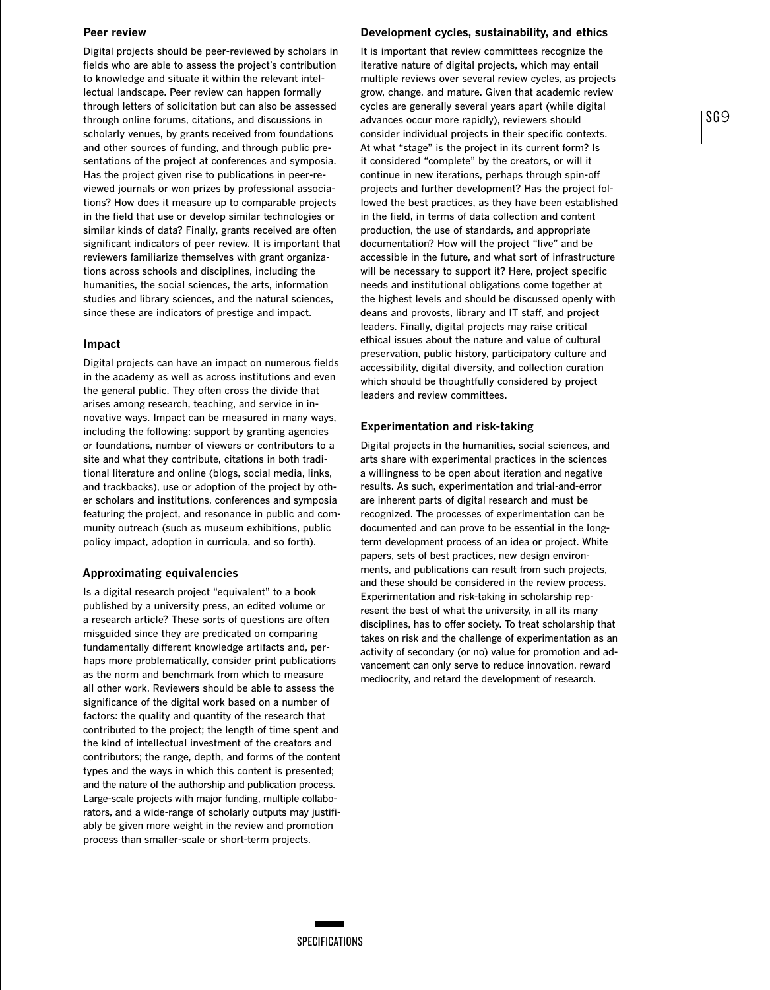#### **Peer review**

Digital projects should be peer-reviewed by scholars in fields who are able to assess the project's contribution to knowledge and situate it within the relevant intellectual landscape. Peer review can happen formally through letters of solicitation but can also be assessed through online forums, citations, and discussions in scholarly venues, by grants received from foundations and other sources of funding, and through public presentations of the project at conferences and symposia. Has the project given rise to publications in peer-reviewed journals or won prizes by professional associations? How does it measure up to comparable projects in the field that use or develop similar technologies or similar kinds of data? Finally, grants received are often significant indicators of peer review. It is important that reviewers familiarize themselves with grant organizations across schools and disciplines, including the humanities, the social sciences, the arts, information studies and library sciences, and the natural sciences, since these are indicators of prestige and impact.

#### **Impact**

Digital projects can have an impact on numerous fields in the academy as well as across institutions and even the general public. They often cross the divide that arises among research, teaching, and service in innovative ways. Impact can be measured in many ways, including the following: support by granting agencies or foundations, number of viewers or contributors to a site and what they contribute, citations in both traditional literature and online (blogs, social media, links, and trackbacks), use or adoption of the project by other scholars and institutions, conferences and symposia featuring the project, and resonance in public and community outreach (such as museum exhibitions, public policy impact, adoption in curricula, and so forth).

#### **Approximating equivalencies**

Is a digital research project "equivalent" to a book published by a university press, an edited volume or a research article? These sorts of questions are often misguided since they are predicated on comparing fundamentally different knowledge artifacts and, perhaps more problematically, consider print publications as the norm and benchmark from which to measure all other work. Reviewers should be able to assess the significance of the digital work based on a number of factors: the quality and quantity of the research that contributed to the project; the length of time spent and the kind of intellectual investment of the creators and contributors; the range, depth, and forms of the content types and the ways in which this content is presented; and the nature of the authorship and publication process. Large-scale projects with major funding, multiple collaborators, and a wide-range of scholarly outputs may justifiably be given more weight in the review and promotion process than smaller-scale or short-term projects.

#### **Development cycles, sustainability, and ethics**

It is important that review committees recognize the iterative nature of digital projects, which may entail multiple reviews over several review cycles, as projects grow, change, and mature. Given that academic review cycles are generally several years apart (while digital advances occur more rapidly), reviewers should consider individual projects in their specific contexts. At what "stage" is the project in its current form? Is it considered "complete" by the creators, or will it continue in new iterations, perhaps through spin-off projects and further development? Has the project followed the best practices, as they have been established in the field, in terms of data collection and content production, the use of standards, and appropriate documentation? How will the project "live" and be accessible in the future, and what sort of infrastructure will be necessary to support it? Here, project specific needs and institutional obligations come together at the highest levels and should be discussed openly with deans and provosts, library and IT staff, and project leaders. Finally, digital projects may raise critical ethical issues about the nature and value of cultural preservation, public history, participatory culture and accessibility, digital diversity, and collection curation which should be thoughtfully considered by project leaders and review committees.

#### **Experimentation and risk-taking**

Digital projects in the humanities, social sciences, and arts share with experimental practices in the sciences a willingness to be open about iteration and negative results. As such, experimentation and trial-and-error are inherent parts of digital research and must be recognized. The processes of experimentation can be documented and can prove to be essential in the longterm development process of an idea or project. White papers, sets of best practices, new design environments, and publications can result from such projects, and these should be considered in the review process. Experimentation and risk-taking in scholarship represent the best of what the university, in all its many disciplines, has to offer society. To treat scholarship that takes on risk and the challenge of experimentation as an activity of secondary (or no) value for promotion and advancement can only serve to reduce innovation, reward mediocrity, and retard the development of research.

 $S<sub>G</sub>9$ 

specifications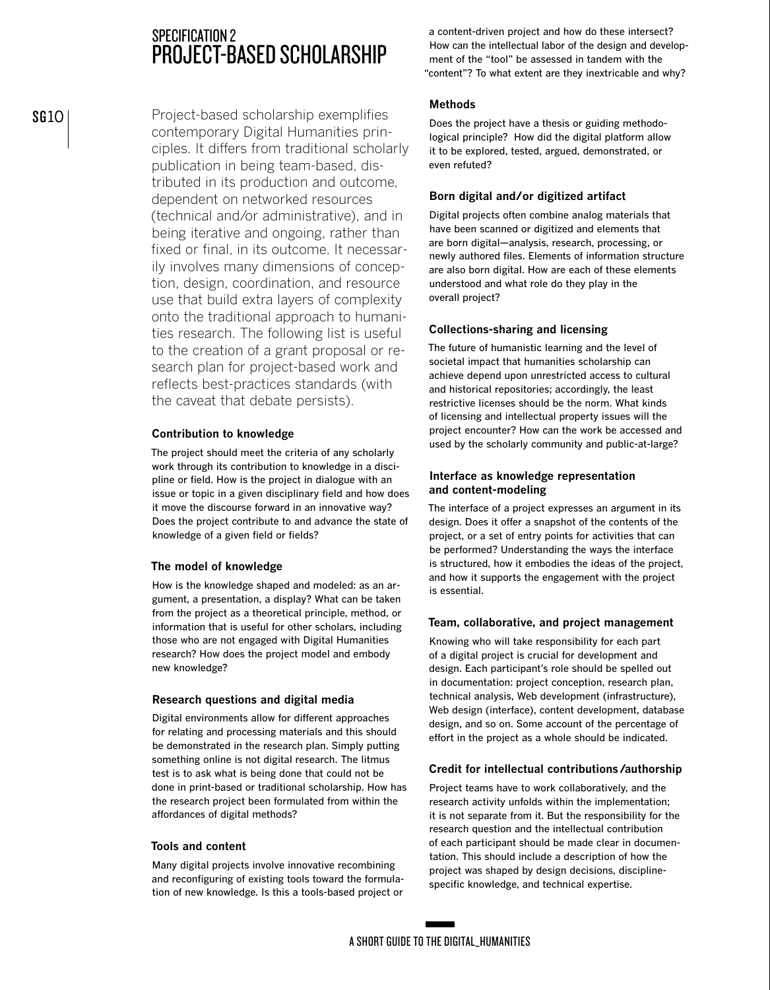# SPECIFICATION 2 Project-Based Scholarship

**SG10** 

Project-based scholarship exemplifies contemporary Digital Humanities principles. It differs from traditional scholarly publication in being team-based, distributed in its production and outcome, dependent on networked resources (technical and/or administrative), and in being iterative and ongoing, rather than fixed or final, in its outcome. It necessarily involves many dimensions of conception, design, coordination, and resource use that build extra layers of complexity onto the traditional approach to humanities research. The following list is useful to the creation of a grant proposal or research plan for project-based work and reflects best-practices standards (with the caveat that debate persists).

## **Contribution to knowledge**

The project should meet the criteria of any scholarly work through its contribution to knowledge in a discipline or field. How is the project in dialogue with an issue or topic in a given disciplinary field and how does it move the discourse forward in an innovative way? Does the project contribute to and advance the state of knowledge of a given field or fields?

#### **The model of knowledge**

How is the knowledge shaped and modeled: as an argument, a presentation, a display? What can be taken from the project as a theoretical principle, method, or information that is useful for other scholars, including those who are not engaged with Digital Humanities research? How does the project model and embody new knowledge?

#### **Research questions and digital media**

Digital environments allow for different approaches for relating and processing materials and this should be demonstrated in the research plan. Simply putting something online is not digital research. The litmus test is to ask what is being done that could not be done in print-based or traditional scholarship. How has the research project been formulated from within the affordances of digital methods?

#### **Tools and content**

Many digital projects involve innovative recombining and reconfiguring of existing tools toward the formulation of new knowledge. Is this a tools-based project or

a content-driven project and how do these intersect? How can the intellectual labor of the design and development of the "tool" be assessed in tandem with the "content"? To what extent are they inextricable and why?

#### **Methods**

Does the project have a thesis or guiding methodological principle? How did the digital platform allow it to be explored, tested, argued, demonstrated, or even refuted?

#### **Born digital and/or digitized artifact**

Digital projects often combine analog materials that have been scanned or digitized and elements that are born digital—analysis, research, processing, or newly authored files. Elements of information structure are also born digital. How are each of these elements understood and what role do they play in the overall project?

#### **Collections-sharing and licensing**

The future of humanistic learning and the level of societal impact that humanities scholarship can achieve depend upon unrestricted access to cultural and historical repositories; accordingly, the least restrictive licenses should be the norm. What kinds of licensing and intellectual property issues will the project encounter? How can the work be accessed and used by the scholarly community and public-at-large?

#### **Interface as knowledge representation and content-modeling**

The interface of a project expresses an argument in its design. Does it offer a snapshot of the contents of the project, or a set of entry points for activities that can be performed? Understanding the ways the interface is structured, how it embodies the ideas of the project, and how it supports the engagement with the project is essential.

#### **Team, collaborative, and project management**

Knowing who will take responsibility for each part of a digital project is crucial for development and design. Each participant's role should be spelled out in documentation: project conception, research plan, technical analysis, Web development (infrastructure), Web design (interface), content development, database design, and so on. Some account of the percentage of effort in the project as a whole should be indicated.

#### **Credit for intellectual contributions/authorship**

Project teams have to work collaboratively, and the research activity unfolds within the implementation; it is not separate from it. But the responsibility for the research question and the intellectual contribution of each participant should be made clear in documentation. This should include a description of how the project was shaped by design decisions, disciplinespecific knowledge, and technical expertise.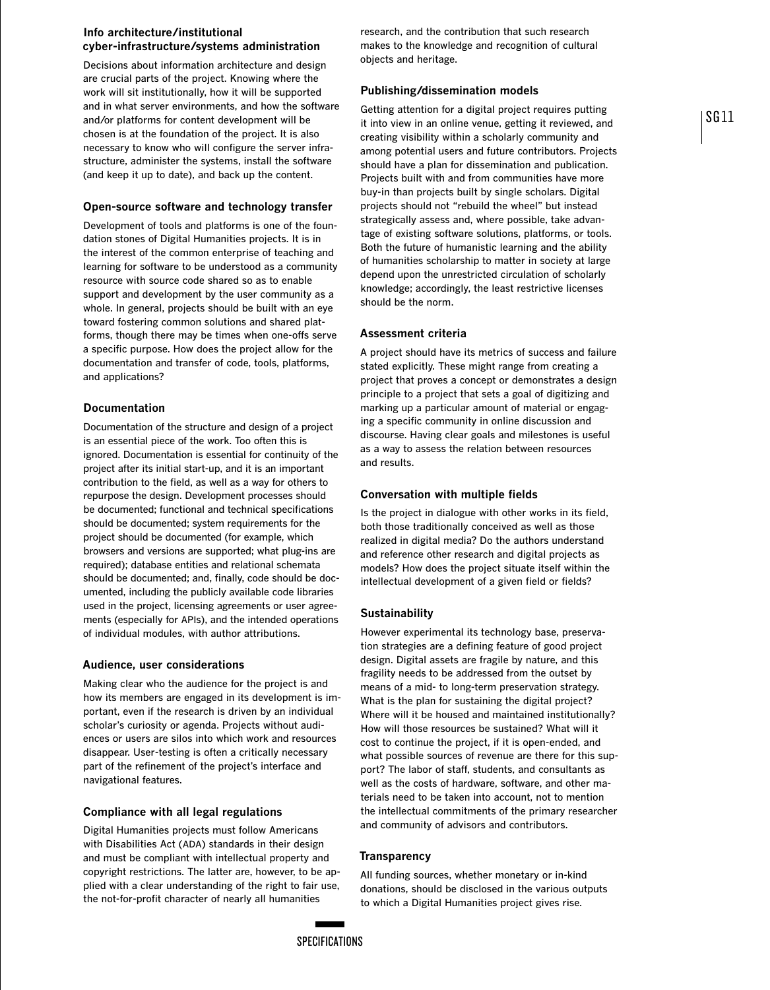#### **Info architecture/institutional cyber-infrastructure/systems administration**

Decisions about information architecture and design are crucial parts of the project. Knowing where the work will sit institutionally, how it will be supported and in what server environments, and how the software and/or platforms for content development will be chosen is at the foundation of the project. It is also necessary to know who will configure the server infrastructure, administer the systems, install the software (and keep it up to date), and back up the content.

#### **Open-source software and technology transfer**

Development of tools and platforms is one of the foundation stones of Digital Humanities projects. It is in the interest of the common enterprise of teaching and learning for software to be understood as a community resource with source code shared so as to enable support and development by the user community as a whole. In general, projects should be built with an eye toward fostering common solutions and shared platforms, though there may be times when one-offs serve a specific purpose. How does the project allow for the documentation and transfer of code, tools, platforms, and applications?

## **Documentation**

Documentation of the structure and design of a project is an essential piece of the work. Too often this is ignored. Documentation is essential for continuity of the project after its initial start-up, and it is an important contribution to the field, as well as a way for others to repurpose the design. Development processes should be documented; functional and technical specifications should be documented; system requirements for the project should be documented (for example, which browsers and versions are supported; what plug-ins are required); database entities and relational schemata should be documented; and, finally, code should be documented, including the publicly available code libraries used in the project, licensing agreements or user agreements (especially for APIs), and the intended operations of individual modules, with author attributions.

#### **Audience, user considerations**

Making clear who the audience for the project is and how its members are engaged in its development is important, even if the research is driven by an individual scholar's curiosity or agenda. Projects without audiences or users are silos into which work and resources disappear. User-testing is often a critically necessary part of the refinement of the project's interface and navigational features.

## **Compliance with all legal regulations**

Digital Humanities projects must follow Americans with Disabilities Act (ADA) standards in their design and must be compliant with intellectual property and copyright restrictions. The latter are, however, to be applied with a clear understanding of the right to fair use, the not-for-profit character of nearly all humanities

research, and the contribution that such research makes to the knowledge and recognition of cultural objects and heritage.

## **Publishing/dissemination models**

Getting attention for a digital project requires putting it into view in an online venue, getting it reviewed, and creating visibility within a scholarly community and among potential users and future contributors. Projects should have a plan for dissemination and publication. Projects built with and from communities have more buy-in than projects built by single scholars. Digital projects should not "rebuild the wheel" but instead strategically assess and, where possible, take advantage of existing software solutions, platforms, or tools. Both the future of humanistic learning and the ability of humanities scholarship to matter in society at large depend upon the unrestricted circulation of scholarly knowledge; accordingly, the least restrictive licenses should be the norm.

#### **Assessment criteria**

A project should have its metrics of success and failure stated explicitly. These might range from creating a project that proves a concept or demonstrates a design principle to a project that sets a goal of digitizing and marking up a particular amount of material or engaging a specific community in online discussion and discourse. Having clear goals and milestones is useful as a way to assess the relation between resources and results.

## **Conversation with multiple fields**

Is the project in dialogue with other works in its field, both those traditionally conceived as well as those realized in digital media? Do the authors understand and reference other research and digital projects as models? How does the project situate itself within the intellectual development of a given field or fields?

## **Sustainability**

However experimental its technology base, preservation strategies are a defining feature of good project design. Digital assets are fragile by nature, and this fragility needs to be addressed from the outset by means of a mid- to long-term preservation strategy. What is the plan for sustaining the digital project? Where will it be housed and maintained institutionally? How will those resources be sustained? What will it cost to continue the project, if it is open-ended, and what possible sources of revenue are there for this support? The labor of staff, students, and consultants as well as the costs of hardware, software, and other materials need to be taken into account, not to mention the intellectual commitments of the primary researcher and community of advisors and contributors.

## **Transparency**

All funding sources, whether monetary or in-kind donations, should be disclosed in the various outputs to which a Digital Humanities project gives rise.

specifications

SG 11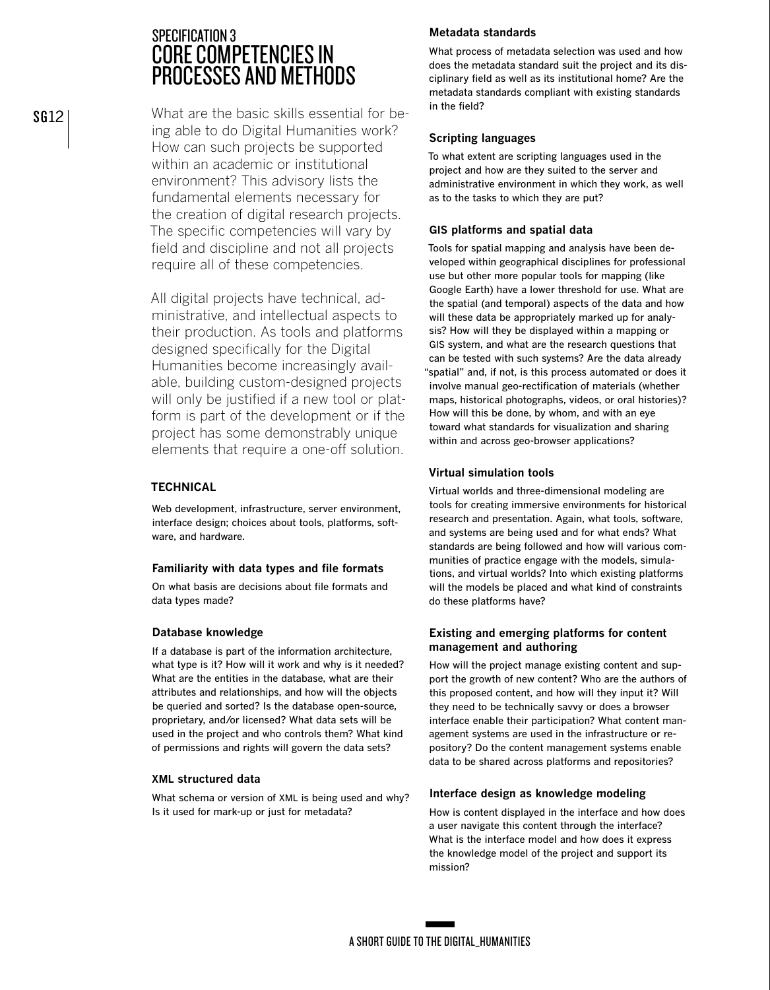# SPECIFICATION 3 Core Competencies in Processes and Methods

What are the basic skills essential for being able to do Digital Humanities work? How can such projects be supported within an academic or institutional environment? This advisory lists the fundamental elements necessary for the creation of digital research projects. The specific competencies will vary by field and discipline and not all projects require all of these competencies.

All digital projects have technical, administrative, and intellectual aspects to their production. As tools and platforms designed specifically for the Digital Humanities become increasingly available, building custom-designed projects will only be justified if a new tool or platform is part of the development or if the project has some demonstrably unique elements that require a one-off solution.

## **Technical**

Web development, infrastructure, server environment, interface design; choices about tools, platforms, software, and hardware.

## **Familiarity with data types and file formats**

On what basis are decisions about file formats and data types made?

## **Database knowledge**

If a database is part of the information architecture, what type is it? How will it work and why is it needed? What are the entities in the database, what are their attributes and relationships, and how will the objects be queried and sorted? Is the database open-source, proprietary, and/or licensed? What data sets will be used in the project and who controls them? What kind of permissions and rights will govern the data sets?

#### **XML structured data**

What schema or version of XML is being used and why? Is it used for mark-up or just for metadata?

#### **Metadata standards**

What process of metadata selection was used and how does the metadata standard suit the project and its disciplinary field as well as its institutional home? Are the metadata standards compliant with existing standards in the field?

#### **Scripting languages**

To what extent are scripting languages used in the project and how are they suited to the server and administrative environment in which they work, as well as to the tasks to which they are put?

#### **GIS platforms and spatial data**

Tools for spatial mapping and analysis have been developed within geographical disciplines for professional use but other more popular tools for mapping (like Google Earth) have a lower threshold for use. What are the spatial (and temporal) aspects of the data and how will these data be appropriately marked up for analysis? How will they be displayed within a mapping or GIS system, and what are the research questions that can be tested with such systems? Are the data already "spatial" and, if not, is this process automated or does it involve manual geo-rectification of materials (whether maps, historical photographs, videos, or oral histories)? How will this be done, by whom, and with an eye toward what standards for visualization and sharing within and across geo-browser applications?

## **Virtual simulation tools**

Virtual worlds and three-dimensional modeling are tools for creating immersive environments for historical research and presentation. Again, what tools, software, and systems are being used and for what ends? What standards are being followed and how will various communities of practice engage with the models, simulations, and virtual worlds? Into which existing platforms will the models be placed and what kind of constraints do these platforms have?

#### **Existing and emerging platforms for content management and authoring**

How will the project manage existing content and support the growth of new content? Who are the authors of this proposed content, and how will they input it? Will they need to be technically savvy or does a browser interface enable their participation? What content management systems are used in the infrastructure or repository? Do the content management systems enable data to be shared across platforms and repositories?

#### **Interface design as knowledge modeling**

How is content displayed in the interface and how does a user navigate this content through the interface? What is the interface model and how does it express the knowledge model of the project and support its mission?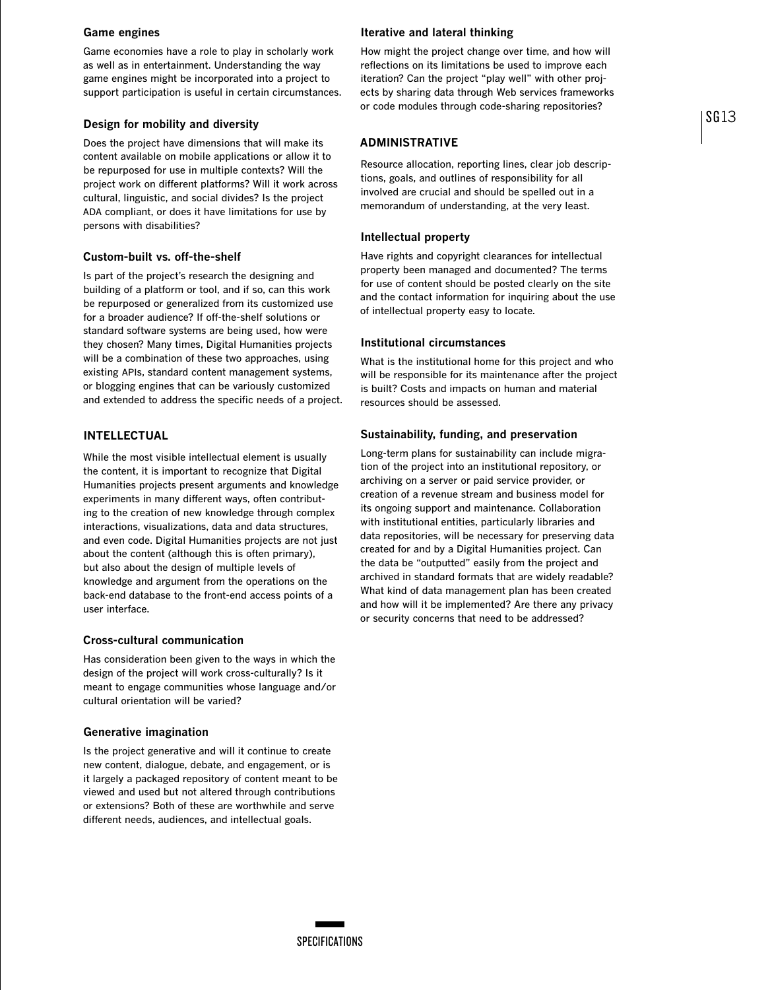#### **Game engines**

Game economies have a role to play in scholarly work as well as in entertainment. Understanding the way game engines might be incorporated into a project to support participation is useful in certain circumstances.

## **Design for mobility and diversity**

Does the project have dimensions that will make its content available on mobile applications or allow it to be repurposed for use in multiple contexts? Will the project work on different platforms? Will it work across cultural, linguistic, and social divides? Is the project ADA compliant, or does it have limitations for use by persons with disabilities?

## **Custom-built vs. off-the-shelf**

Is part of the project's research the designing and building of a platform or tool, and if so, can this work be repurposed or generalized from its customized use for a broader audience? If off-the-shelf solutions or standard software systems are being used, how were they chosen? Many times, Digital Humanities projects will be a combination of these two approaches, using existing APIs, standard content management systems, or blogging engines that can be variously customized and extended to address the specific needs of a project.

## **intellectual**

While the most visible intellectual element is usually the content, it is important to recognize that Digital Humanities projects present arguments and knowledge experiments in many different ways, often contributing to the creation of new knowledge through complex interactions, visualizations, data and data structures, and even code. Digital Humanities projects are not just about the content (although this is often primary), but also about the design of multiple levels of knowledge and argument from the operations on the back-end database to the front-end access points of a user interface.

## **Cross-cultural communication**

Has consideration been given to the ways in which the design of the project will work cross-culturally? Is it meant to engage communities whose language and/or cultural orientation will be varied?

## **Generative imagination**

Is the project generative and will it continue to create new content, dialogue, debate, and engagement, or is it largely a packaged repository of content meant to be viewed and used but not altered through contributions or extensions? Both of these are worthwhile and serve different needs, audiences, and intellectual goals.

## **Iterative and lateral thinking**

How might the project change over time, and how will reflections on its limitations be used to improve each iteration? Can the project "play well" with other projects by sharing data through Web services frameworks or code modules through code-sharing repositories?

## **administrative**

Resource allocation, reporting lines, clear job descriptions, goals, and outlines of responsibility for all involved are crucial and should be spelled out in a memorandum of understanding, at the very least.

## **Intellectual property**

Have rights and copyright clearances for intellectual property been managed and documented? The terms for use of content should be posted clearly on the site and the contact information for inquiring about the use of intellectual property easy to locate.

## **Institutional circumstances**

What is the institutional home for this project and who will be responsible for its maintenance after the project is built? Costs and impacts on human and material resources should be assessed.

## **Sustainability, funding, and preservation**

Long-term plans for sustainability can include migration of the project into an institutional repository, or archiving on a server or paid service provider, or creation of a revenue stream and business model for its ongoing support and maintenance. Collaboration with institutional entities, particularly libraries and data repositories, will be necessary for preserving data created for and by a Digital Humanities project. Can the data be "outputted" easily from the project and archived in standard formats that are widely readable? What kind of data management plan has been created and how will it be implemented? Are there any privacy or security concerns that need to be addressed?

specifications

SG SG13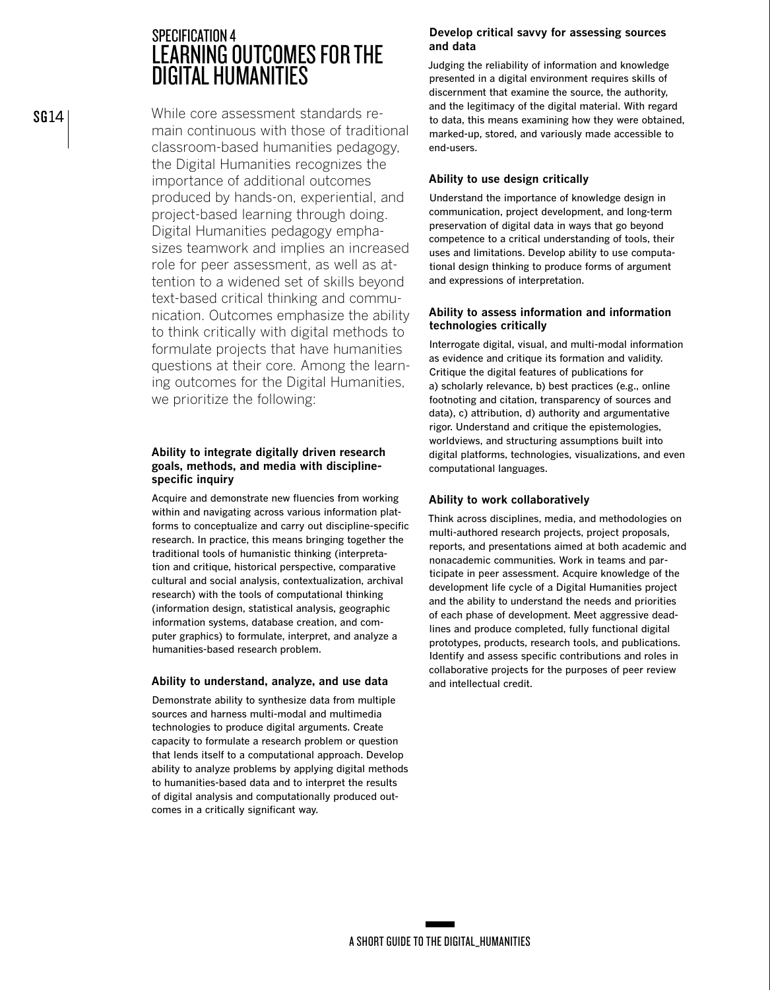# SPECIFICATION 4 learning outcomes for the Digital Humanities

While core assessment standards remain continuous with those of traditional classroom-based humanities pedagogy, the Digital Humanities recognizes the importance of additional outcomes produced by hands-on, experiential, and project-based learning through doing. Digital Humanities pedagogy emphasizes teamwork and implies an increased role for peer assessment, as well as attention to a widened set of skills beyond text-based critical thinking and communication. Outcomes emphasize the ability to think critically with digital methods to formulate projects that have humanities questions at their core. Among the learning outcomes for the Digital Humanities, we prioritize the following:

#### **Ability to integrate digitally driven research goals, methods, and media with disciplinespecific inquiry**

Acquire and demonstrate new fluencies from working within and navigating across various information platforms to conceptualize and carry out discipline-specific research. In practice, this means bringing together the traditional tools of humanistic thinking (interpretation and critique, historical perspective, comparative cultural and social analysis, contextualization, archival research) with the tools of computational thinking (information design, statistical analysis, geographic information systems, database creation, and computer graphics) to formulate, interpret, and analyze a humanities-based research problem.

#### **Ability to understand, analyze, and use data**

Demonstrate ability to synthesize data from multiple sources and harness multi-modal and multimedia technologies to produce digital arguments. Create capacity to formulate a research problem or question that lends itself to a computational approach. Develop ability to analyze problems by applying digital methods to humanities-based data and to interpret the results of digital analysis and computationally produced outcomes in a critically significant way.

#### **Develop critical savvy for assessing sources and data**

Judging the reliability of information and knowledge presented in a digital environment requires skills of discernment that examine the source, the authority, and the legitimacy of the digital material. With regard to data, this means examining how they were obtained, marked-up, stored, and variously made accessible to end-users.

## **Ability to use design critically**

Understand the importance of knowledge design in communication, project development, and long-term preservation of digital data in ways that go beyond competence to a critical understanding of tools, their uses and limitations. Develop ability to use computational design thinking to produce forms of argument and expressions of interpretation.

#### **Ability to assess information and information technologies critically**

Interrogate digital, visual, and multi-modal information as evidence and critique its formation and validity. Critique the digital features of publications for a) scholarly relevance, b) best practices (e.g., online footnoting and citation, transparency of sources and data), c) attribution, d) authority and argumentative rigor. Understand and critique the epistemologies, worldviews, and structuring assumptions built into digital platforms, technologies, visualizations, and even computational languages.

# **Ability to work collaboratively**

Think across disciplines, media, and methodologies on multi-authored research projects, project proposals, reports, and presentations aimed at both academic and nonacademic communities. Work in teams and participate in peer assessment. Acquire knowledge of the development life cycle of a Digital Humanities project and the ability to understand the needs and priorities of each phase of development. Meet aggressive deadlines and produce completed, fully functional digital prototypes, products, research tools, and publications. Identify and assess specific contributions and roles in collaborative projects for the purposes of peer review and intellectual credit.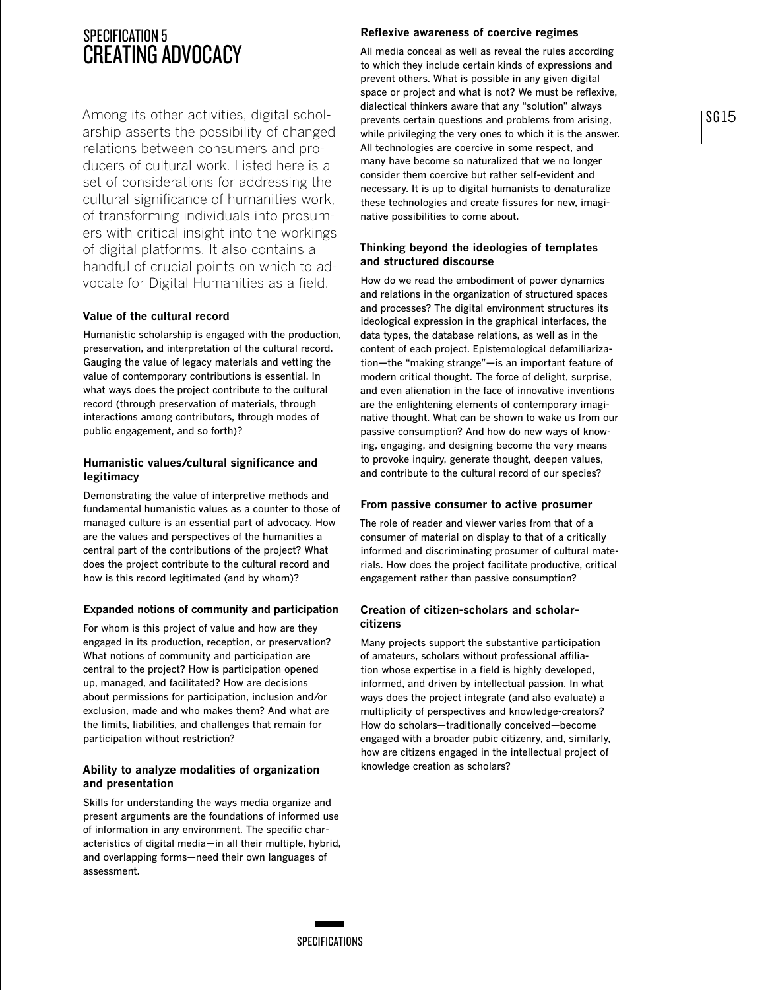# SPECIFICATION 5 Creating Advocacy

Among its other activities, digital scholarship asserts the possibility of changed relations between consumers and producers of cultural work. Listed here is a set of considerations for addressing the cultural significance of humanities work, of transforming individuals into prosumers with critical insight into the workings of digital platforms. It also contains a handful of crucial points on which to advocate for Digital Humanities as a field.

## **Value of the cultural record**

Humanistic scholarship is engaged with the production, preservation, and interpretation of the cultural record. Gauging the value of legacy materials and vetting the value of contemporary contributions is essential. In what ways does the project contribute to the cultural record (through preservation of materials, through interactions among contributors, through modes of public engagement, and so forth)?

#### **Humanistic values/cultural significance and legitimacy**

Demonstrating the value of interpretive methods and fundamental humanistic values as a counter to those of managed culture is an essential part of advocacy. How are the values and perspectives of the humanities a central part of the contributions of the project? What does the project contribute to the cultural record and how is this record legitimated (and by whom)?

## **Expanded notions of community and participation**

For whom is this project of value and how are they engaged in its production, reception, or preservation? What notions of community and participation are central to the project? How is participation opened up, managed, and facilitated? How are decisions about permissions for participation, inclusion and/or exclusion, made and who makes them? And what are the limits, liabilities, and challenges that remain for participation without restriction?

#### **Ability to analyze modalities of organization and presentation**

Skills for understanding the ways media organize and present arguments are the foundations of informed use of information in any environment. The specific characteristics of digital media—in all their multiple, hybrid, and overlapping forms—need their own languages of assessment.

#### **Reflexive awareness of coercive regimes**

All media conceal as well as reveal the rules according to which they include certain kinds of expressions and prevent others. What is possible in any given digital space or project and what is not? We must be reflexive, dialectical thinkers aware that any "solution" always prevents certain questions and problems from arising, while privileging the very ones to which it is the answer. All technologies are coercive in some respect, and many have become so naturalized that we no longer consider them coercive but rather self-evident and necessary. It is up to digital humanists to denaturalize these technologies and create fissures for new, imaginative possibilities to come about.

## **Thinking beyond the ideologies of templates and structured discourse**

How do we read the embodiment of power dynamics and relations in the organization of structured spaces and processes? The digital environment structures its ideological expression in the graphical interfaces, the data types, the database relations, as well as in the content of each project. Epistemological defamiliarization—the "making strange"—is an important feature of modern critical thought. The force of delight, surprise, and even alienation in the face of innovative inventions are the enlightening elements of contemporary imaginative thought. What can be shown to wake us from our passive consumption? And how do new ways of knowing, engaging, and designing become the very means to provoke inquiry, generate thought, deepen values, and contribute to the cultural record of our species?

## **From passive consumer to active prosumer**

The role of reader and viewer varies from that of a consumer of material on display to that of a critically informed and discriminating prosumer of cultural materials. How does the project facilitate productive, critical engagement rather than passive consumption?

## **Creation of citizen-scholars and scholarcitizens**

Many projects support the substantive participation of amateurs, scholars without professional affiliation whose expertise in a field is highly developed, informed, and driven by intellectual passion. In what ways does the project integrate (and also evaluate) a multiplicity of perspectives and knowledge-creators? How do scholars—traditionally conceived—become engaged with a broader pubic citizenry, and, similarly, how are citizens engaged in the intellectual project of knowledge creation as scholars?

SG SG15

specifications